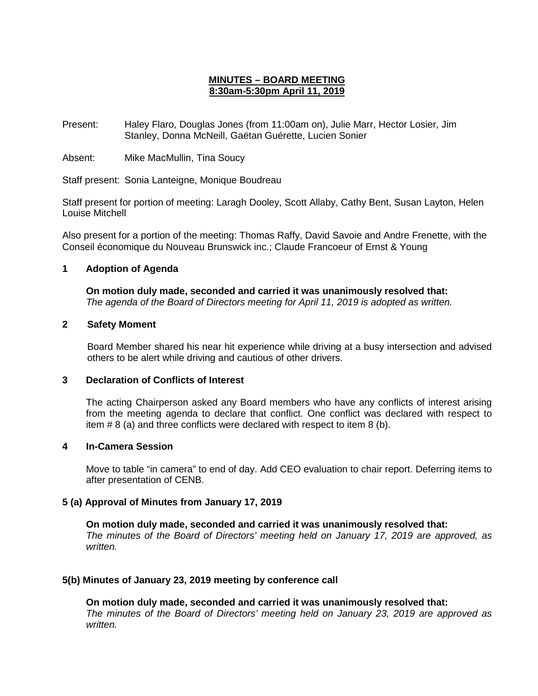# **MINUTES – BOARD MEETING 8:30am-5:30pm April 11, 2019**

Present: Haley Flaro, Douglas Jones (from 11:00am on), Julie Marr, Hector Losier, Jim Stanley, Donna McNeill, Gaëtan Guérette, Lucien Sonier

Absent: Mike MacMullin, Tina Soucy

Staff present: Sonia Lanteigne, Monique Boudreau

Staff present for portion of meeting: Laragh Dooley, Scott Allaby, Cathy Bent, Susan Layton, Helen Louise Mitchell

Also present for a portion of the meeting: Thomas Raffy, David Savoie and Andre Frenette, with the Conseil économique du Nouveau Brunswick inc.; Claude Francoeur of Ernst & Young

### **1 Adoption of Agenda**

**On motion duly made, seconded and carried it was unanimously resolved that:** *The agenda of the Board of Directors meeting for April 11, 2019 is adopted as written.*

# **2 Safety Moment**

Board Member shared his near hit experience while driving at a busy intersection and advised others to be alert while driving and cautious of other drivers.

#### **3 Declaration of Conflicts of Interest**

The acting Chairperson asked any Board members who have any conflicts of interest arising from the meeting agenda to declare that conflict. One conflict was declared with respect to item # 8 (a) and three conflicts were declared with respect to item 8 (b).

#### **4 In-Camera Session**

Move to table "in camera" to end of day. Add CEO evaluation to chair report. Deferring items to after presentation of CENB.

### **5 (a) Approval of Minutes from January 17, 2019**

**On motion duly made, seconded and carried it was unanimously resolved that:** *The minutes of the Board of Directors' meeting held on January 17, 2019 are approved, as written.*

### **5(b) Minutes of January 23, 2019 meeting by conference call**

**On motion duly made, seconded and carried it was unanimously resolved that:** *The minutes of the Board of Directors' meeting held on January 23, 2019 are approved as written.*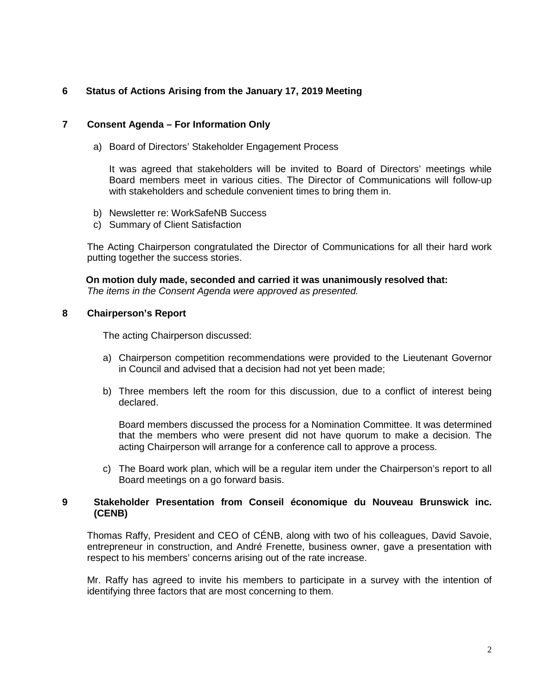# **6 Status of Actions Arising from the January 17, 2019 Meeting**

### **7 Consent Agenda – For Information Only**

a) Board of Directors' Stakeholder Engagement Process

It was agreed that stakeholders will be invited to Board of Directors' meetings while Board members meet in various cities. The Director of Communications will follow-up with stakeholders and schedule convenient times to bring them in.

- b) Newsletter re: WorkSafeNB Success
- c) Summary of Client Satisfaction

The Acting Chairperson congratulated the Director of Communications for all their hard work putting together the success stories.

**On motion duly made, seconded and carried it was unanimously resolved that:** *The items in the Consent Agenda were approved as presented.*

### **8 Chairperson's Report**

The acting Chairperson discussed:

- a) Chairperson competition recommendations were provided to the Lieutenant Governor in Council and advised that a decision had not yet been made;
- b) Three members left the room for this discussion, due to a conflict of interest being declared.

Board members discussed the process for a Nomination Committee. It was determined that the members who were present did not have quorum to make a decision. The acting Chairperson will arrange for a conference call to approve a process.

c) The Board work plan, which will be a regular item under the Chairperson's report to all Board meetings on a go forward basis.

### **9 Stakeholder Presentation from Conseil économique du Nouveau Brunswick inc. (CENB)**

Thomas Raffy, President and CEO of CÉNB, along with two of his colleagues, David Savoie, entrepreneur in construction, and André Frenette, business owner, gave a presentation with respect to his members' concerns arising out of the rate increase.

Mr. Raffy has agreed to invite his members to participate in a survey with the intention of identifying three factors that are most concerning to them.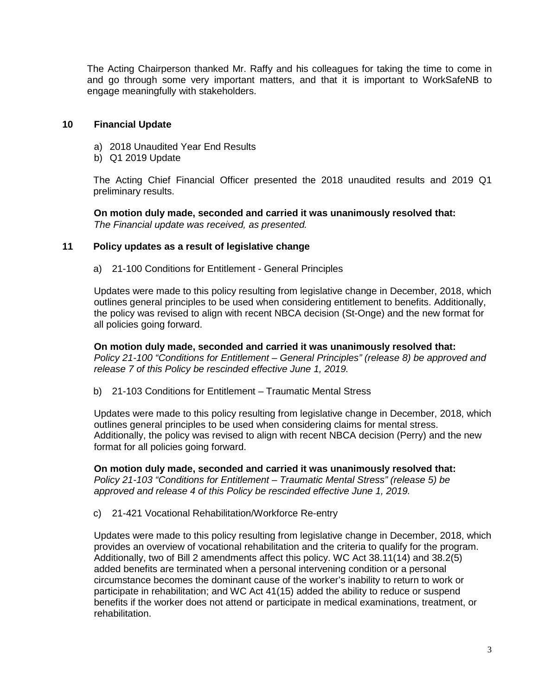The Acting Chairperson thanked Mr. Raffy and his colleagues for taking the time to come in and go through some very important matters, and that it is important to WorkSafeNB to engage meaningfully with stakeholders.

### **10 Financial Update**

- a) 2018 Unaudited Year End Results
- b) Q1 2019 Update

The Acting Chief Financial Officer presented the 2018 unaudited results and 2019 Q1 preliminary results.

**On motion duly made, seconded and carried it was unanimously resolved that:** *The Financial update was received, as presented.* 

# **11 Policy updates as a result of legislative change**

a) 21-100 Conditions for Entitlement - General Principles

Updates were made to this policy resulting from legislative change in December, 2018, which outlines general principles to be used when considering entitlement to benefits. Additionally, the policy was revised to align with recent NBCA decision (St-Onge) and the new format for all policies going forward.

**On motion duly made, seconded and carried it was unanimously resolved that:** *Policy 21-100 "Conditions for Entitlement – General Principles" (release 8) be approved and release 7 of this Policy be rescinded effective June 1, 2019.*

b) 21-103 Conditions for Entitlement – Traumatic Mental Stress

Updates were made to this policy resulting from legislative change in December, 2018, which outlines general principles to be used when considering claims for mental stress. Additionally, the policy was revised to align with recent NBCA decision (Perry) and the new format for all policies going forward.

**On motion duly made, seconded and carried it was unanimously resolved that:** *Policy 21-103 "Conditions for Entitlement – Traumatic Mental Stress" (release 5) be approved and release 4 of this Policy be rescinded effective June 1, 2019.*

c) 21-421 Vocational Rehabilitation/Workforce Re-entry

Updates were made to this policy resulting from legislative change in December, 2018, which provides an overview of vocational rehabilitation and the criteria to qualify for the program. Additionally, two of Bill 2 amendments affect this policy. WC Act 38.11(14) and 38.2(5) added benefits are terminated when a personal intervening condition or a personal circumstance becomes the dominant cause of the worker's inability to return to work or participate in rehabilitation; and WC Act 41(15) added the ability to reduce or suspend benefits if the worker does not attend or participate in medical examinations, treatment, or rehabilitation.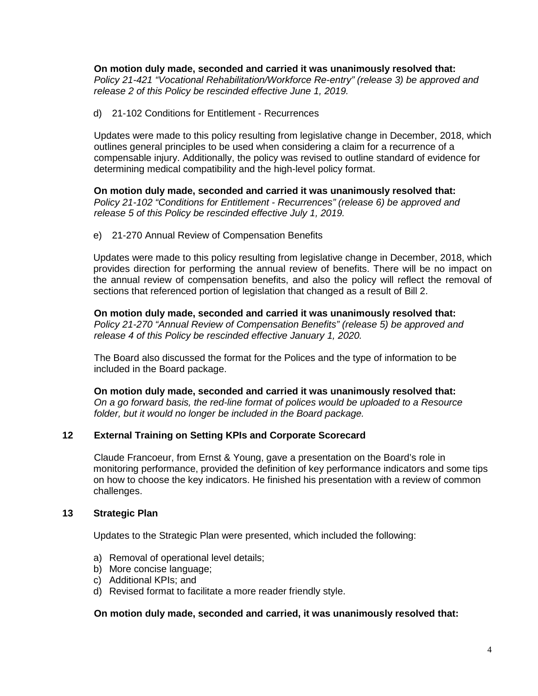**On motion duly made, seconded and carried it was unanimously resolved that:** *Policy 21-421 "Vocational Rehabilitation/Workforce Re-entry" (release 3) be approved and release 2 of this Policy be rescinded effective June 1, 2019.*

d) 21-102 Conditions for Entitlement - Recurrences

Updates were made to this policy resulting from legislative change in December, 2018, which outlines general principles to be used when considering a claim for a recurrence of a compensable injury. Additionally, the policy was revised to outline standard of evidence for determining medical compatibility and the high-level policy format.

**On motion duly made, seconded and carried it was unanimously resolved that:** *Policy 21-102 "Conditions for Entitlement - Recurrences" (release 6) be approved and release 5 of this Policy be rescinded effective July 1, 2019.*

e) 21-270 Annual Review of Compensation Benefits

Updates were made to this policy resulting from legislative change in December, 2018, which provides direction for performing the annual review of benefits. There will be no impact on the annual review of compensation benefits, and also the policy will reflect the removal of sections that referenced portion of legislation that changed as a result of Bill 2.

**On motion duly made, seconded and carried it was unanimously resolved that:** *Policy 21-270 "Annual Review of Compensation Benefits" (release 5) be approved and release 4 of this Policy be rescinded effective January 1, 2020.*

The Board also discussed the format for the Polices and the type of information to be included in the Board package.

**On motion duly made, seconded and carried it was unanimously resolved that:** *On a go forward basis, the red-line format of polices would be uploaded to a Resource folder, but it would no longer be included in the Board package.* 

# **12 External Training on Setting KPIs and Corporate Scorecard**

Claude Francoeur, from Ernst & Young, gave a presentation on the Board's role in monitoring performance, provided the definition of key performance indicators and some tips on how to choose the key indicators. He finished his presentation with a review of common challenges.

# **13 Strategic Plan**

Updates to the Strategic Plan were presented, which included the following:

- a) Removal of operational level details;
- b) More concise language;
- c) Additional KPIs; and
- d) Revised format to facilitate a more reader friendly style.

### **On motion duly made, seconded and carried, it was unanimously resolved that:**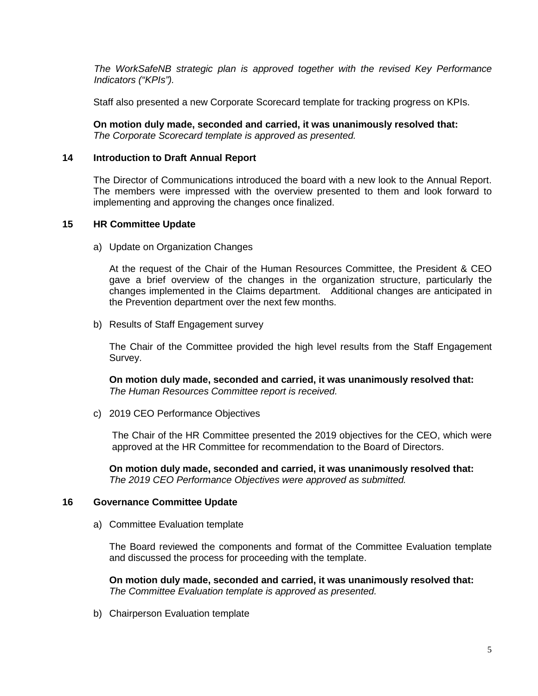*The WorkSafeNB strategic plan is approved together with the revised Key Performance Indicators ("KPIs").*

Staff also presented a new Corporate Scorecard template for tracking progress on KPIs.

**On motion duly made, seconded and carried, it was unanimously resolved that:** *The Corporate Scorecard template is approved as presented.* 

## **14 Introduction to Draft Annual Report**

The Director of Communications introduced the board with a new look to the Annual Report. The members were impressed with the overview presented to them and look forward to implementing and approving the changes once finalized.

### **15 HR Committee Update**

a) Update on Organization Changes

At the request of the Chair of the Human Resources Committee, the President & CEO gave a brief overview of the changes in the organization structure, particularly the changes implemented in the Claims department. Additional changes are anticipated in the Prevention department over the next few months.

b) Results of Staff Engagement survey

The Chair of the Committee provided the high level results from the Staff Engagement Survey.

**On motion duly made, seconded and carried, it was unanimously resolved that:** *The Human Resources Committee report is received.*

c) 2019 CEO Performance Objectives

The Chair of the HR Committee presented the 2019 objectives for the CEO, which were approved at the HR Committee for recommendation to the Board of Directors.

**On motion duly made, seconded and carried, it was unanimously resolved that:** *The 2019 CEO Performance Objectives were approved as submitted.* 

### **16 Governance Committee Update**

a) Committee Evaluation template

The Board reviewed the components and format of the Committee Evaluation template and discussed the process for proceeding with the template.

**On motion duly made, seconded and carried, it was unanimously resolved that:** *The Committee Evaluation template is approved as presented.*

b) Chairperson Evaluation template